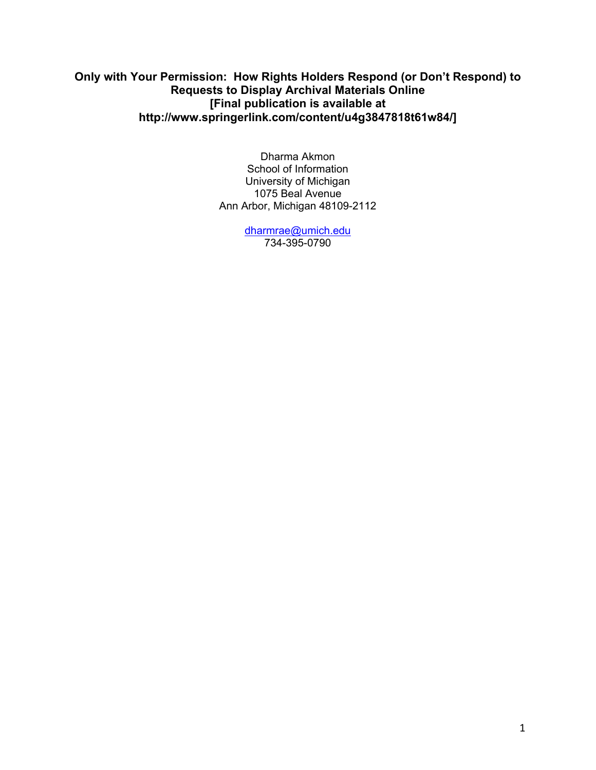**Only with Your Permission: How Rights Holders Respond (or Don't Respond) to Requests to Display Archival Materials Online [Final publication is available at http://www.springerlink.com/content/u4g3847818t61w84/]**

> Dharma Akmon School of Information University of Michigan 1075 Beal Avenue Ann Arbor, Michigan 48109-2112

> > dharmrae@umich.edu 734-395-0790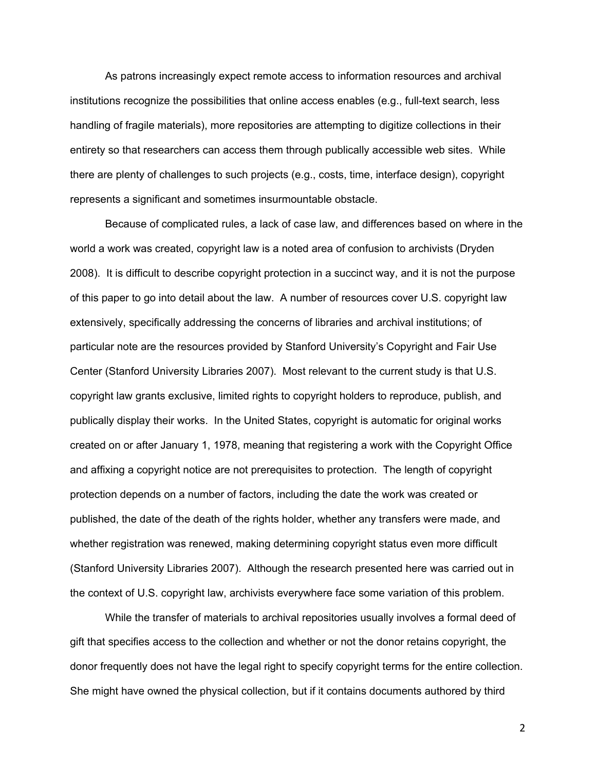As patrons increasingly expect remote access to information resources and archival institutions recognize the possibilities that online access enables (e.g., full-text search, less handling of fragile materials), more repositories are attempting to digitize collections in their entirety so that researchers can access them through publically accessible web sites. While there are plenty of challenges to such projects (e.g., costs, time, interface design), copyright represents a significant and sometimes insurmountable obstacle.

Because of complicated rules, a lack of case law, and differences based on where in the world a work was created, copyright law is a noted area of confusion to archivists (Dryden 2008). It is difficult to describe copyright protection in a succinct way, and it is not the purpose of this paper to go into detail about the law. A number of resources cover U.S. copyright law extensively, specifically addressing the concerns of libraries and archival institutions; of particular note are the resources provided by Stanford University's Copyright and Fair Use Center (Stanford University Libraries 2007). Most relevant to the current study is that U.S. copyright law grants exclusive, limited rights to copyright holders to reproduce, publish, and publically display their works. In the United States, copyright is automatic for original works created on or after January 1, 1978, meaning that registering a work with the Copyright Office and affixing a copyright notice are not prerequisites to protection. The length of copyright protection depends on a number of factors, including the date the work was created or published, the date of the death of the rights holder, whether any transfers were made, and whether registration was renewed, making determining copyright status even more difficult (Stanford University Libraries 2007). Although the research presented here was carried out in the context of U.S. copyright law, archivists everywhere face some variation of this problem.

While the transfer of materials to archival repositories usually involves a formal deed of gift that specifies access to the collection and whether or not the donor retains copyright, the donor frequently does not have the legal right to specify copyright terms for the entire collection. She might have owned the physical collection, but if it contains documents authored by third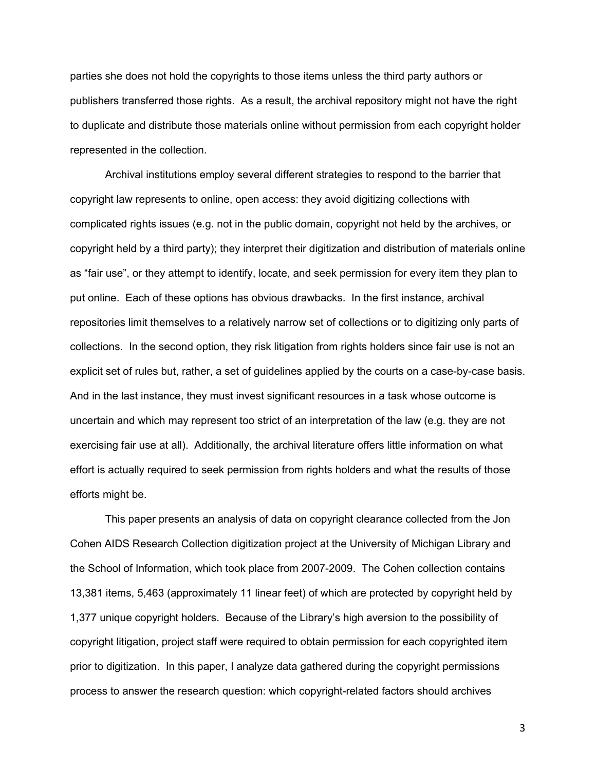parties she does not hold the copyrights to those items unless the third party authors or publishers transferred those rights. As a result, the archival repository might not have the right to duplicate and distribute those materials online without permission from each copyright holder represented in the collection.

Archival institutions employ several different strategies to respond to the barrier that copyright law represents to online, open access: they avoid digitizing collections with complicated rights issues (e.g. not in the public domain, copyright not held by the archives, or copyright held by a third party); they interpret their digitization and distribution of materials online as "fair use", or they attempt to identify, locate, and seek permission for every item they plan to put online. Each of these options has obvious drawbacks. In the first instance, archival repositories limit themselves to a relatively narrow set of collections or to digitizing only parts of collections. In the second option, they risk litigation from rights holders since fair use is not an explicit set of rules but, rather, a set of guidelines applied by the courts on a case-by-case basis. And in the last instance, they must invest significant resources in a task whose outcome is uncertain and which may represent too strict of an interpretation of the law (e.g. they are not exercising fair use at all). Additionally, the archival literature offers little information on what effort is actually required to seek permission from rights holders and what the results of those efforts might be.

This paper presents an analysis of data on copyright clearance collected from the Jon Cohen AIDS Research Collection digitization project at the University of Michigan Library and the School of Information, which took place from 2007-2009. The Cohen collection contains 13,381 items, 5,463 (approximately 11 linear feet) of which are protected by copyright held by 1,377 unique copyright holders. Because of the Library's high aversion to the possibility of copyright litigation, project staff were required to obtain permission for each copyrighted item prior to digitization. In this paper, I analyze data gathered during the copyright permissions process to answer the research question: which copyright-related factors should archives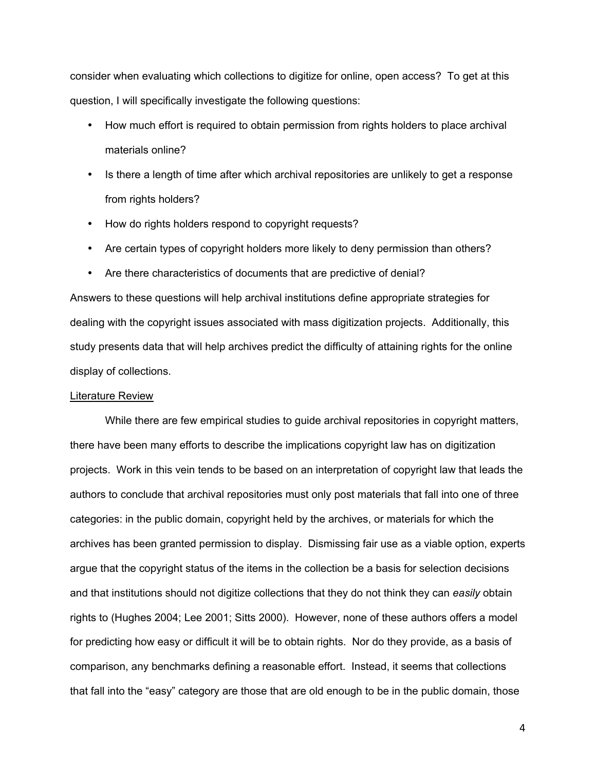consider when evaluating which collections to digitize for online, open access? To get at this question, I will specifically investigate the following questions:

- How much effort is required to obtain permission from rights holders to place archival materials online?
- Is there a length of time after which archival repositories are unlikely to get a response from rights holders?
- How do rights holders respond to copyright requests?
- Are certain types of copyright holders more likely to deny permission than others?
- Are there characteristics of documents that are predictive of denial?

Answers to these questions will help archival institutions define appropriate strategies for dealing with the copyright issues associated with mass digitization projects. Additionally, this study presents data that will help archives predict the difficulty of attaining rights for the online display of collections.

# Literature Review

While there are few empirical studies to guide archival repositories in copyright matters, there have been many efforts to describe the implications copyright law has on digitization projects. Work in this vein tends to be based on an interpretation of copyright law that leads the authors to conclude that archival repositories must only post materials that fall into one of three categories: in the public domain, copyright held by the archives, or materials for which the archives has been granted permission to display. Dismissing fair use as a viable option, experts argue that the copyright status of the items in the collection be a basis for selection decisions and that institutions should not digitize collections that they do not think they can *easily* obtain rights to (Hughes 2004; Lee 2001; Sitts 2000). However, none of these authors offers a model for predicting how easy or difficult it will be to obtain rights. Nor do they provide, as a basis of comparison, any benchmarks defining a reasonable effort. Instead, it seems that collections that fall into the "easy" category are those that are old enough to be in the public domain, those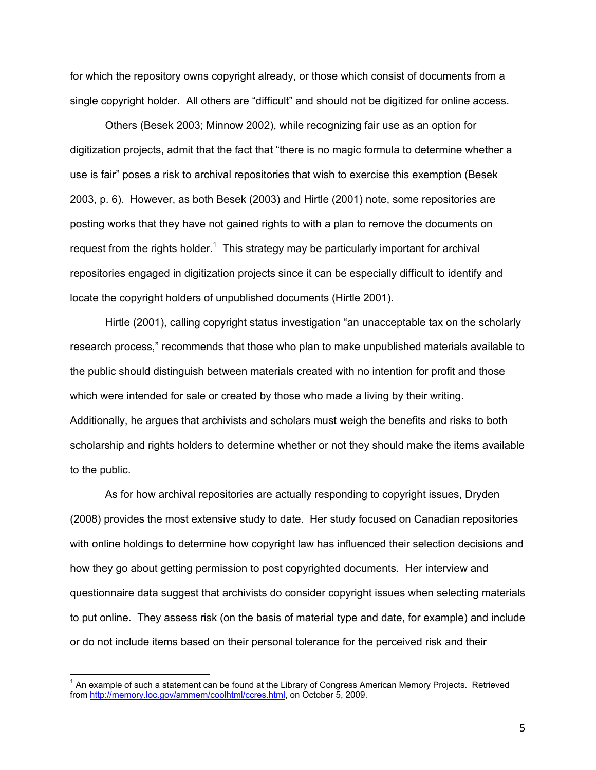for which the repository owns copyright already, or those which consist of documents from a single copyright holder. All others are "difficult" and should not be digitized for online access.

Others (Besek 2003; Minnow 2002), while recognizing fair use as an option for digitization projects, admit that the fact that "there is no magic formula to determine whether a use is fair" poses a risk to archival repositories that wish to exercise this exemption (Besek 2003, p. 6). However, as both Besek (2003) and Hirtle (2001) note, some repositories are posting works that they have not gained rights to with a plan to remove the documents on request from the rights holder.<sup>1</sup> This strategy may be particularly important for archival repositories engaged in digitization projects since it can be especially difficult to identify and locate the copyright holders of unpublished documents (Hirtle 2001).

Hirtle (2001), calling copyright status investigation "an unacceptable tax on the scholarly research process," recommends that those who plan to make unpublished materials available to the public should distinguish between materials created with no intention for profit and those which were intended for sale or created by those who made a living by their writing. Additionally, he argues that archivists and scholars must weigh the benefits and risks to both scholarship and rights holders to determine whether or not they should make the items available to the public.

As for how archival repositories are actually responding to copyright issues, Dryden (2008) provides the most extensive study to date. Her study focused on Canadian repositories with online holdings to determine how copyright law has influenced their selection decisions and how they go about getting permission to post copyrighted documents. Her interview and questionnaire data suggest that archivists do consider copyright issues when selecting materials to put online. They assess risk (on the basis of material type and date, for example) and include or do not include items based on their personal tolerance for the perceived risk and their

example of such a statement can be found at the Library of Congress American Memory Projects. Retrieved<br><sup>1</sup> An example of such a statement can be found at the Library of Congress American Memory Projects. Retrieved from http://memory.loc.gov/ammem/coolhtml/ccres.html, on October 5, 2009.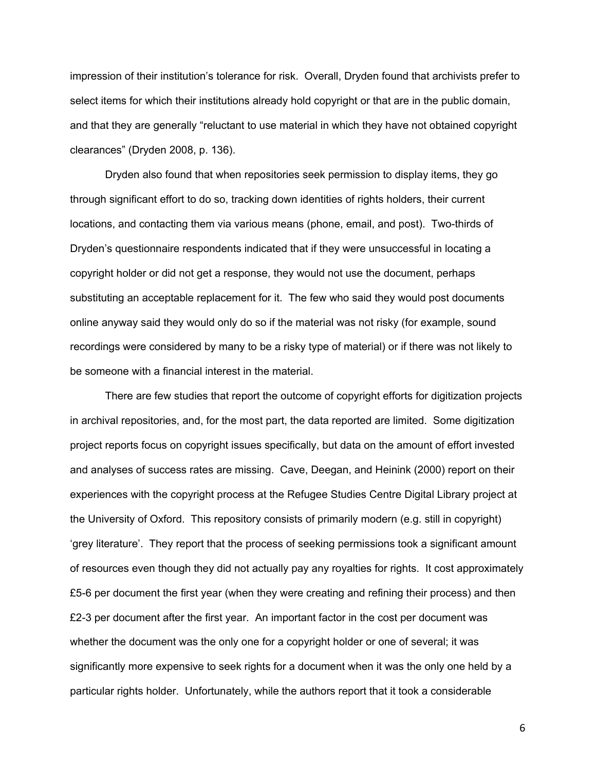impression of their institution's tolerance for risk. Overall, Dryden found that archivists prefer to select items for which their institutions already hold copyright or that are in the public domain, and that they are generally "reluctant to use material in which they have not obtained copyright clearances" (Dryden 2008, p. 136).

Dryden also found that when repositories seek permission to display items, they go through significant effort to do so, tracking down identities of rights holders, their current locations, and contacting them via various means (phone, email, and post). Two-thirds of Dryden's questionnaire respondents indicated that if they were unsuccessful in locating a copyright holder or did not get a response, they would not use the document, perhaps substituting an acceptable replacement for it. The few who said they would post documents online anyway said they would only do so if the material was not risky (for example, sound recordings were considered by many to be a risky type of material) or if there was not likely to be someone with a financial interest in the material.

There are few studies that report the outcome of copyright efforts for digitization projects in archival repositories, and, for the most part, the data reported are limited. Some digitization project reports focus on copyright issues specifically, but data on the amount of effort invested and analyses of success rates are missing. Cave, Deegan, and Heinink (2000) report on their experiences with the copyright process at the Refugee Studies Centre Digital Library project at the University of Oxford. This repository consists of primarily modern (e.g. still in copyright) 'grey literature'. They report that the process of seeking permissions took a significant amount of resources even though they did not actually pay any royalties for rights. It cost approximately £5-6 per document the first year (when they were creating and refining their process) and then £2-3 per document after the first year. An important factor in the cost per document was whether the document was the only one for a copyright holder or one of several; it was significantly more expensive to seek rights for a document when it was the only one held by a particular rights holder. Unfortunately, while the authors report that it took a considerable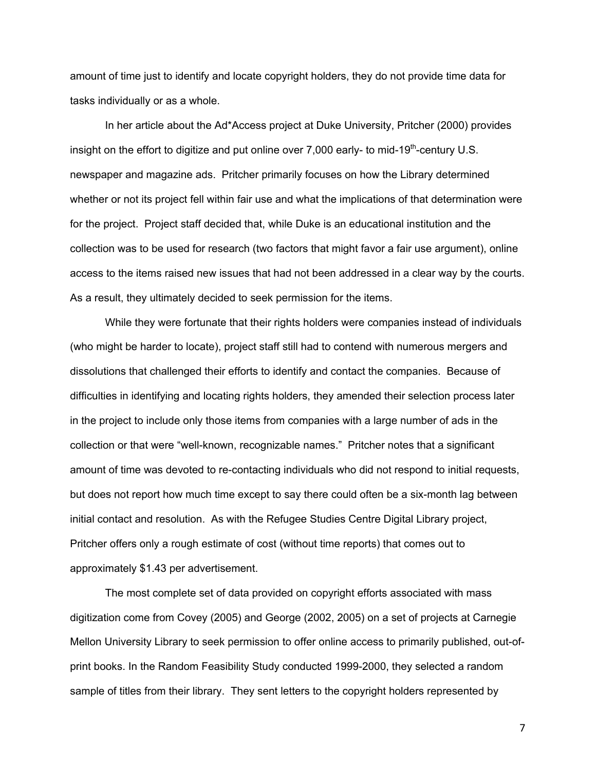amount of time just to identify and locate copyright holders, they do not provide time data for tasks individually or as a whole.

In her article about the Ad\*Access project at Duke University, Pritcher (2000) provides insight on the effort to digitize and put online over  $7,000$  early- to mid-19<sup>th</sup>-century U.S. newspaper and magazine ads. Pritcher primarily focuses on how the Library determined whether or not its project fell within fair use and what the implications of that determination were for the project. Project staff decided that, while Duke is an educational institution and the collection was to be used for research (two factors that might favor a fair use argument), online access to the items raised new issues that had not been addressed in a clear way by the courts. As a result, they ultimately decided to seek permission for the items.

While they were fortunate that their rights holders were companies instead of individuals (who might be harder to locate), project staff still had to contend with numerous mergers and dissolutions that challenged their efforts to identify and contact the companies. Because of difficulties in identifying and locating rights holders, they amended their selection process later in the project to include only those items from companies with a large number of ads in the collection or that were "well-known, recognizable names." Pritcher notes that a significant amount of time was devoted to re-contacting individuals who did not respond to initial requests, but does not report how much time except to say there could often be a six-month lag between initial contact and resolution. As with the Refugee Studies Centre Digital Library project, Pritcher offers only a rough estimate of cost (without time reports) that comes out to approximately \$1.43 per advertisement.

The most complete set of data provided on copyright efforts associated with mass digitization come from Covey (2005) and George (2002, 2005) on a set of projects at Carnegie Mellon University Library to seek permission to offer online access to primarily published, out-ofprint books. In the Random Feasibility Study conducted 1999-2000, they selected a random sample of titles from their library. They sent letters to the copyright holders represented by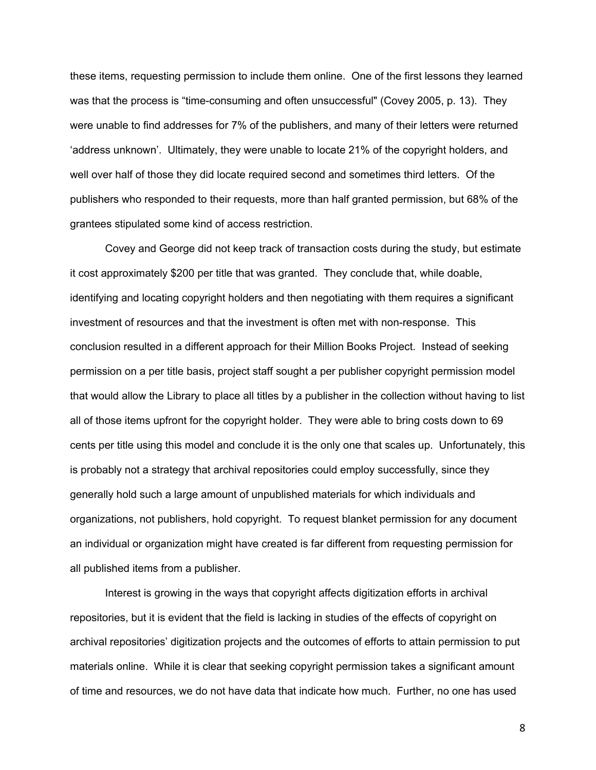these items, requesting permission to include them online. One of the first lessons they learned was that the process is "time-consuming and often unsuccessful" (Covey 2005, p. 13). They were unable to find addresses for 7% of the publishers, and many of their letters were returned 'address unknown'. Ultimately, they were unable to locate 21% of the copyright holders, and well over half of those they did locate required second and sometimes third letters. Of the publishers who responded to their requests, more than half granted permission, but 68% of the grantees stipulated some kind of access restriction.

Covey and George did not keep track of transaction costs during the study, but estimate it cost approximately \$200 per title that was granted. They conclude that, while doable, identifying and locating copyright holders and then negotiating with them requires a significant investment of resources and that the investment is often met with non-response. This conclusion resulted in a different approach for their Million Books Project. Instead of seeking permission on a per title basis, project staff sought a per publisher copyright permission model that would allow the Library to place all titles by a publisher in the collection without having to list all of those items upfront for the copyright holder. They were able to bring costs down to 69 cents per title using this model and conclude it is the only one that scales up. Unfortunately, this is probably not a strategy that archival repositories could employ successfully, since they generally hold such a large amount of unpublished materials for which individuals and organizations, not publishers, hold copyright. To request blanket permission for any document an individual or organization might have created is far different from requesting permission for all published items from a publisher.

Interest is growing in the ways that copyright affects digitization efforts in archival repositories, but it is evident that the field is lacking in studies of the effects of copyright on archival repositories' digitization projects and the outcomes of efforts to attain permission to put materials online. While it is clear that seeking copyright permission takes a significant amount of time and resources, we do not have data that indicate how much. Further, no one has used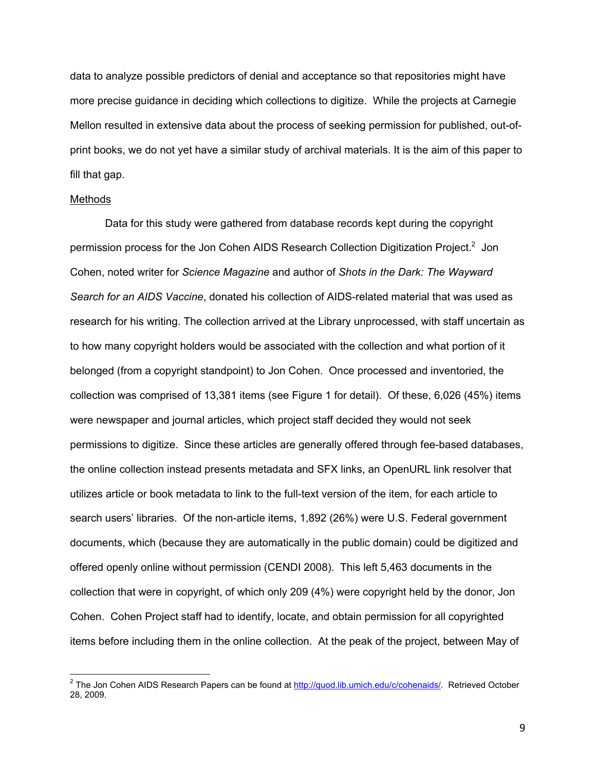data to analyze possible predictors of denial and acceptance so that repositories might have more precise guidance in deciding which collections to digitize. While the projects at Carnegie Mellon resulted in extensive data about the process of seeking permission for published, out-ofprint books, we do not yet have a similar study of archival materials. It is the aim of this paper to fill that gap.

#### Methods

Data for this study were gathered from database records kept during the copyright permission process for the Jon Cohen AIDS Research Collection Digitization Project.<sup>2</sup> Jon Cohen, noted writer for *Science Magazine* and author of *Shots in the Dark: The Wayward Search for an AIDS Vaccine*, donated his collection of AIDS-related material that was used as research for his writing. The collection arrived at the Library unprocessed, with staff uncertain as to how many copyright holders would be associated with the collection and what portion of it belonged (from a copyright standpoint) to Jon Cohen. Once processed and inventoried, the collection was comprised of 13,381 items (see Figure 1 for detail). Of these, 6,026 (45%) items were newspaper and journal articles, which project staff decided they would not seek permissions to digitize. Since these articles are generally offered through fee-based databases, the online collection instead presents metadata and SFX links, an OpenURL link resolver that utilizes article or book metadata to link to the full-text version of the item, for each article to search users' libraries. Of the non-article items, 1,892 (26%) were U.S. Federal government documents, which (because they are automatically in the public domain) could be digitized and offered openly online without permission (CENDI 2008). This left 5,463 documents in the collection that were in copyright, of which only 209 (4%) were copyright held by the donor, Jon Cohen. Cohen Project staff had to identify, locate, and obtain permission for all copyrighted items before including them in the online collection. At the peak of the project, between May of

end on the Jon Cohen AIDS Research Papers can be found at http://quod.lib.umich.edu/c/cohenaids/. Retrieved October<br><sup>2</sup> The Jon Cohen AIDS Research Papers can be found at <u>http://quod.lib.umich.edu/c/cohenaids/</u>. Retrieved 28, 2009.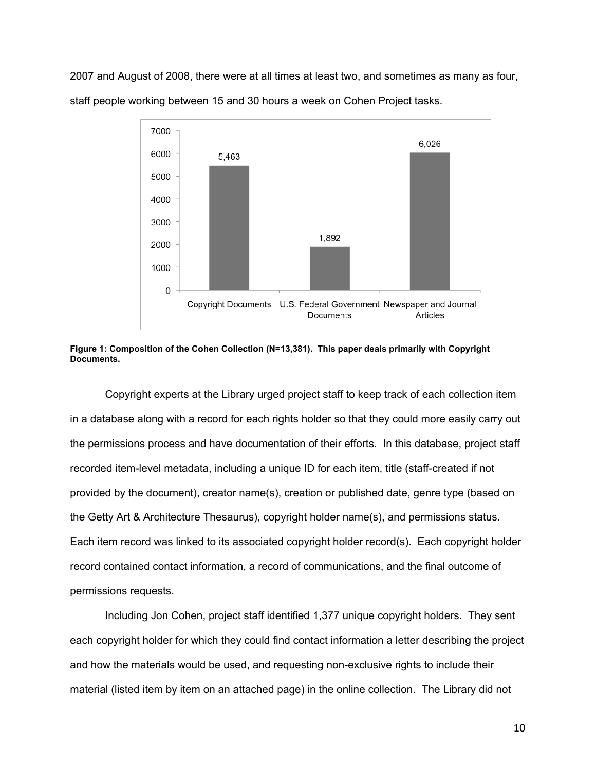2007 and August of 2008, there were at all times at least two, and sometimes as many as four, staff people working between 15 and 30 hours a week on Cohen Project tasks.



**Figure 1: Composition of the Cohen Collection (N=13,381). This paper deals primarily with Copyright Documents.**

Copyright experts at the Library urged project staff to keep track of each collection item in a database along with a record for each rights holder so that they could more easily carry out the permissions process and have documentation of their efforts. In this database, project staff recorded item-level metadata, including a unique ID for each item, title (staff-created if not provided by the document), creator name(s), creation or published date, genre type (based on the Getty Art & Architecture Thesaurus), copyright holder name(s), and permissions status. Each item record was linked to its associated copyright holder record(s). Each copyright holder record contained contact information, a record of communications, and the final outcome of permissions requests.

Including Jon Cohen, project staff identified 1,377 unique copyright holders. They sent each copyright holder for which they could find contact information a letter describing the project and how the materials would be used, and requesting non-exclusive rights to include their material (listed item by item on an attached page) in the online collection. The Library did not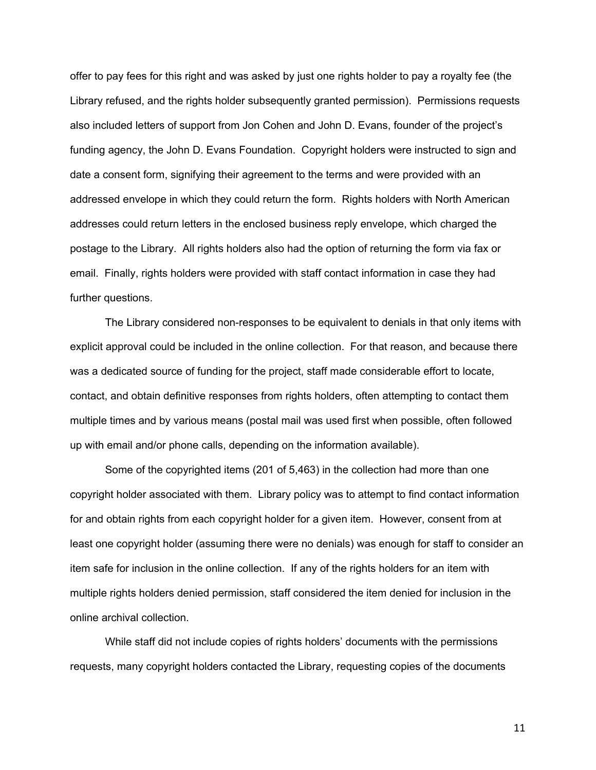offer to pay fees for this right and was asked by just one rights holder to pay a royalty fee (the Library refused, and the rights holder subsequently granted permission). Permissions requests also included letters of support from Jon Cohen and John D. Evans, founder of the project's funding agency, the John D. Evans Foundation. Copyright holders were instructed to sign and date a consent form, signifying their agreement to the terms and were provided with an addressed envelope in which they could return the form. Rights holders with North American addresses could return letters in the enclosed business reply envelope, which charged the postage to the Library. All rights holders also had the option of returning the form via fax or email. Finally, rights holders were provided with staff contact information in case they had further questions.

The Library considered non-responses to be equivalent to denials in that only items with explicit approval could be included in the online collection. For that reason, and because there was a dedicated source of funding for the project, staff made considerable effort to locate, contact, and obtain definitive responses from rights holders, often attempting to contact them multiple times and by various means (postal mail was used first when possible, often followed up with email and/or phone calls, depending on the information available).

Some of the copyrighted items (201 of 5,463) in the collection had more than one copyright holder associated with them. Library policy was to attempt to find contact information for and obtain rights from each copyright holder for a given item. However, consent from at least one copyright holder (assuming there were no denials) was enough for staff to consider an item safe for inclusion in the online collection. If any of the rights holders for an item with multiple rights holders denied permission, staff considered the item denied for inclusion in the online archival collection.

While staff did not include copies of rights holders' documents with the permissions requests, many copyright holders contacted the Library, requesting copies of the documents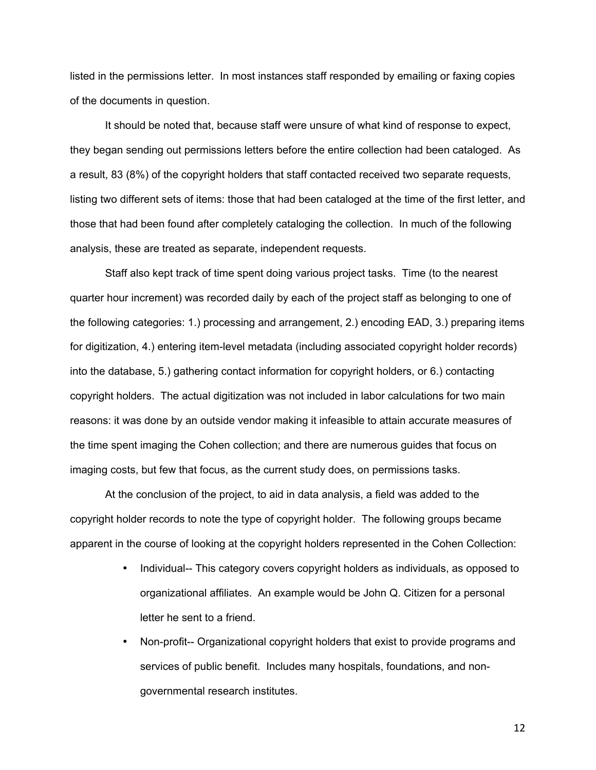listed in the permissions letter. In most instances staff responded by emailing or faxing copies of the documents in question.

It should be noted that, because staff were unsure of what kind of response to expect, they began sending out permissions letters before the entire collection had been cataloged. As a result, 83 (8%) of the copyright holders that staff contacted received two separate requests, listing two different sets of items: those that had been cataloged at the time of the first letter, and those that had been found after completely cataloging the collection. In much of the following analysis, these are treated as separate, independent requests.

Staff also kept track of time spent doing various project tasks. Time (to the nearest quarter hour increment) was recorded daily by each of the project staff as belonging to one of the following categories: 1.) processing and arrangement, 2.) encoding EAD, 3.) preparing items for digitization, 4.) entering item-level metadata (including associated copyright holder records) into the database, 5.) gathering contact information for copyright holders, or 6.) contacting copyright holders. The actual digitization was not included in labor calculations for two main reasons: it was done by an outside vendor making it infeasible to attain accurate measures of the time spent imaging the Cohen collection; and there are numerous guides that focus on imaging costs, but few that focus, as the current study does, on permissions tasks.

At the conclusion of the project, to aid in data analysis, a field was added to the copyright holder records to note the type of copyright holder. The following groups became apparent in the course of looking at the copyright holders represented in the Cohen Collection:

- Individual-- This category covers copyright holders as individuals, as opposed to organizational affiliates. An example would be John Q. Citizen for a personal letter he sent to a friend.
- Non-profit-- Organizational copyright holders that exist to provide programs and services of public benefit. Includes many hospitals, foundations, and nongovernmental research institutes.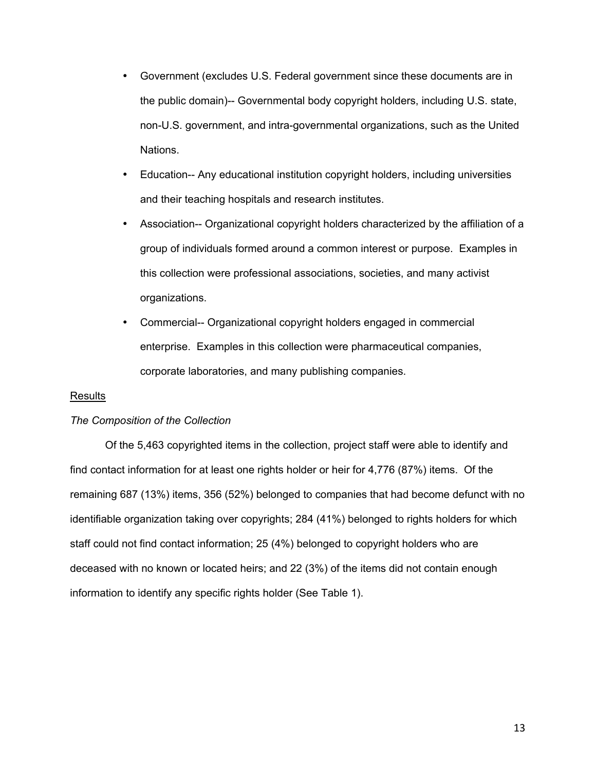- Government (excludes U.S. Federal government since these documents are in the public domain)-- Governmental body copyright holders, including U.S. state, non-U.S. government, and intra-governmental organizations, such as the United Nations.
- Education-- Any educational institution copyright holders, including universities and their teaching hospitals and research institutes.
- Association-- Organizational copyright holders characterized by the affiliation of a group of individuals formed around a common interest or purpose. Examples in this collection were professional associations, societies, and many activist organizations.
- Commercial-- Organizational copyright holders engaged in commercial enterprise. Examples in this collection were pharmaceutical companies, corporate laboratories, and many publishing companies.

## **Results**

### *The Composition of the Collection*

Of the 5,463 copyrighted items in the collection, project staff were able to identify and find contact information for at least one rights holder or heir for 4,776 (87%) items. Of the remaining 687 (13%) items, 356 (52%) belonged to companies that had become defunct with no identifiable organization taking over copyrights; 284 (41%) belonged to rights holders for which staff could not find contact information; 25 (4%) belonged to copyright holders who are deceased with no known or located heirs; and 22 (3%) of the items did not contain enough information to identify any specific rights holder (See Table 1).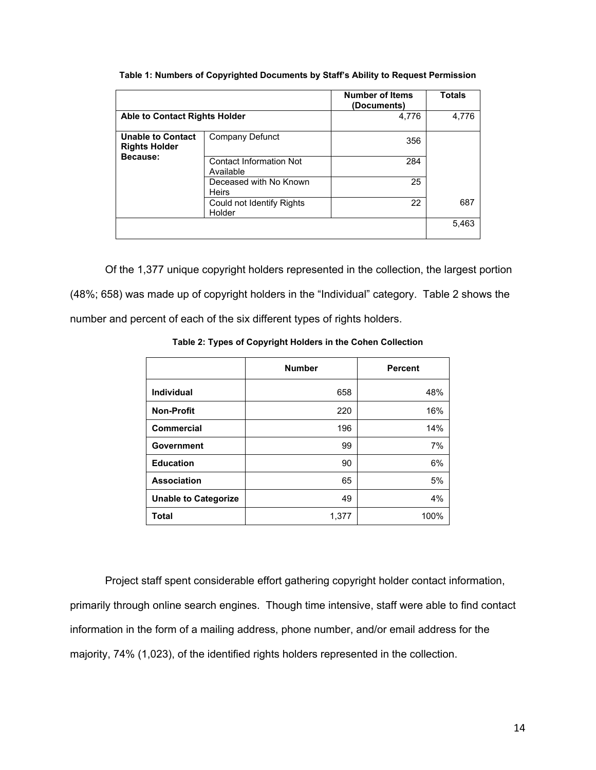| Table 1: Numbers of Copyrighted Documents by Staff's Ability to Request Permission |  |  |  |
|------------------------------------------------------------------------------------|--|--|--|
|                                                                                    |  |  |  |

|                                                  |                                             | <b>Number of Items</b><br>(Documents) | <b>Totals</b> |
|--------------------------------------------------|---------------------------------------------|---------------------------------------|---------------|
| <b>Able to Contact Rights Holder</b>             |                                             | 4,776                                 | 4,776         |
| <b>Unable to Contact</b><br><b>Rights Holder</b> | Company Defunct                             | 356                                   |               |
| Because:                                         | <b>Contact Information Not</b><br>Available | 284                                   |               |
|                                                  | Deceased with No Known<br><b>Heirs</b>      | 25                                    |               |
|                                                  | Could not Identify Rights<br>Holder         | 22                                    | 687           |
|                                                  |                                             |                                       | 5,463         |

Of the 1,377 unique copyright holders represented in the collection, the largest portion (48%; 658) was made up of copyright holders in the "Individual" category. Table 2 shows the number and percent of each of the six different types of rights holders.

|                             | <b>Number</b> | <b>Percent</b> |
|-----------------------------|---------------|----------------|
| <b>Individual</b>           | 658           | 48%            |
| <b>Non-Profit</b>           | 220           | 16%            |
| Commercial                  | 196           | 14%            |
| <b>Government</b>           | 99            | 7%             |
| <b>Education</b>            | 90            | 6%             |
| <b>Association</b>          | 65            | 5%             |
| <b>Unable to Categorize</b> | 49            | 4%             |
| Total                       | 1,377         | 100%           |

**Table 2: Types of Copyright Holders in the Cohen Collection**

Project staff spent considerable effort gathering copyright holder contact information, primarily through online search engines. Though time intensive, staff were able to find contact information in the form of a mailing address, phone number, and/or email address for the majority, 74% (1,023), of the identified rights holders represented in the collection.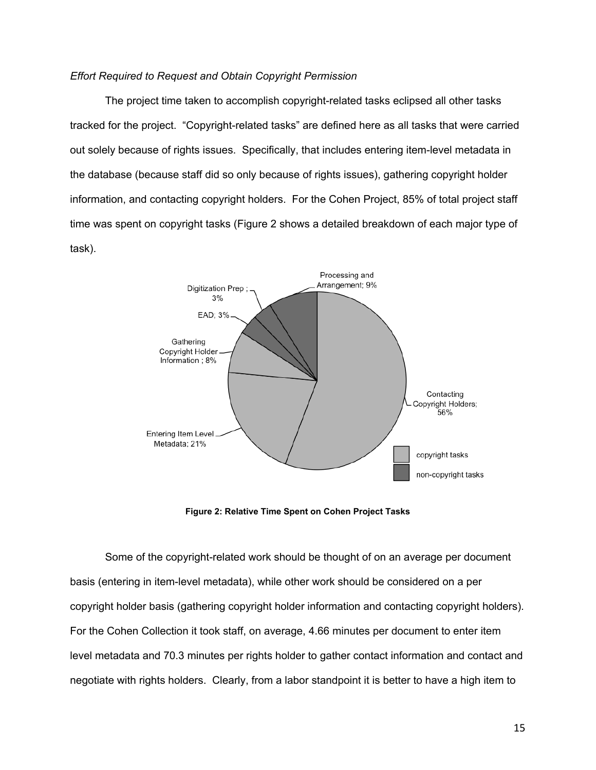# *Effort Required to Request and Obtain Copyright Permission*

The project time taken to accomplish copyright-related tasks eclipsed all other tasks tracked for the project. "Copyright-related tasks" are defined here as all tasks that were carried out solely because of rights issues. Specifically, that includes entering item-level metadata in the database (because staff did so only because of rights issues), gathering copyright holder information, and contacting copyright holders. For the Cohen Project, 85% of total project staff time was spent on copyright tasks (Figure 2 shows a detailed breakdown of each major type of task).



**Figure 2: Relative Time Spent on Cohen Project Tasks**

Some of the copyright-related work should be thought of on an average per document basis (entering in item-level metadata), while other work should be considered on a per copyright holder basis (gathering copyright holder information and contacting copyright holders). For the Cohen Collection it took staff, on average, 4.66 minutes per document to enter item level metadata and 70.3 minutes per rights holder to gather contact information and contact and negotiate with rights holders. Clearly, from a labor standpoint it is better to have a high item to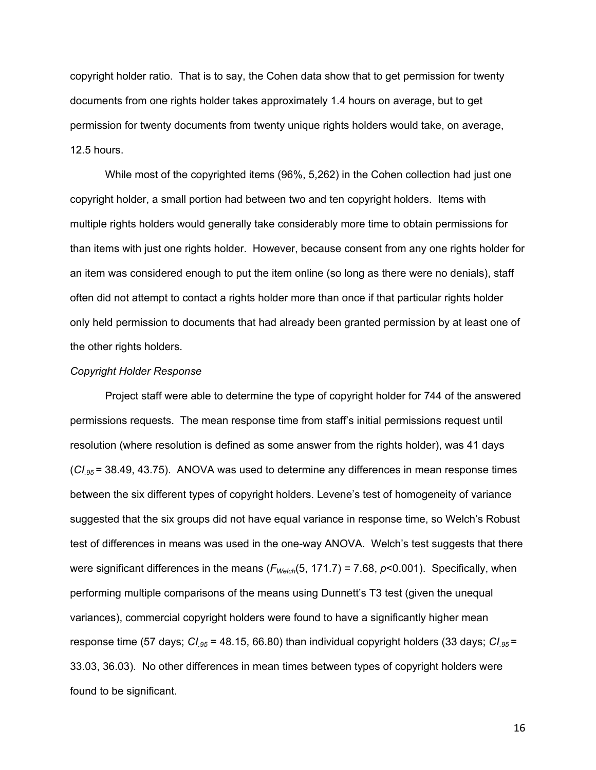copyright holder ratio. That is to say, the Cohen data show that to get permission for twenty documents from one rights holder takes approximately 1.4 hours on average, but to get permission for twenty documents from twenty unique rights holders would take, on average, 12.5 hours.

While most of the copyrighted items (96%, 5,262) in the Cohen collection had just one copyright holder, a small portion had between two and ten copyright holders. Items with multiple rights holders would generally take considerably more time to obtain permissions for than items with just one rights holder. However, because consent from any one rights holder for an item was considered enough to put the item online (so long as there were no denials), staff often did not attempt to contact a rights holder more than once if that particular rights holder only held permission to documents that had already been granted permission by at least one of the other rights holders.

### *Copyright Holder Response*

Project staff were able to determine the type of copyright holder for 744 of the answered permissions requests. The mean response time from staff's initial permissions request until resolution (where resolution is defined as some answer from the rights holder), was 41 days (*CI.95* = 38.49, 43.75). ANOVA was used to determine any differences in mean response times between the six different types of copyright holders. Levene's test of homogeneity of variance suggested that the six groups did not have equal variance in response time, so Welch's Robust test of differences in means was used in the one-way ANOVA. Welch's test suggests that there were significant differences in the means  $(F_{Welch}(5, 171.7) = 7.68, p < 0.001)$ . Specifically, when performing multiple comparisons of the means using Dunnett's T3 test (given the unequal variances), commercial copyright holders were found to have a significantly higher mean response time (57 days; *CI.95* = 48.15, 66.80) than individual copyright holders (33 days; *CI.95* = 33.03, 36.03). No other differences in mean times between types of copyright holders were found to be significant.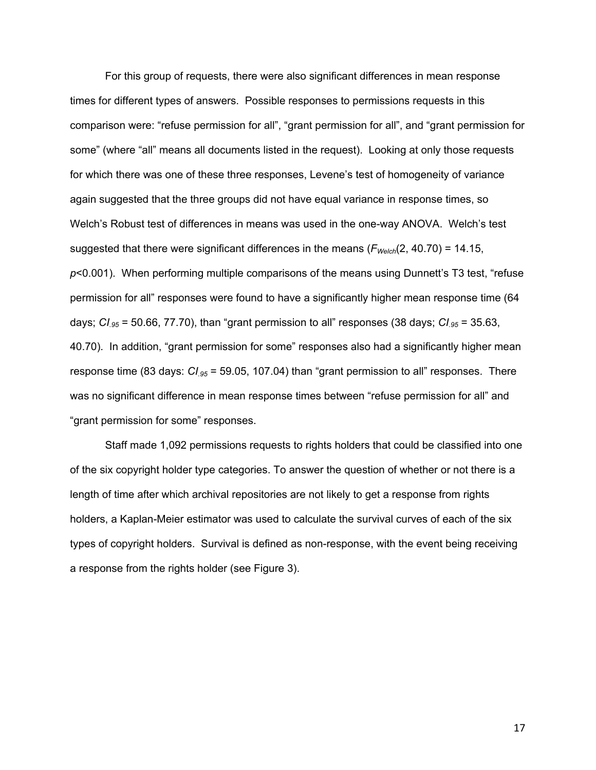For this group of requests, there were also significant differences in mean response times for different types of answers. Possible responses to permissions requests in this comparison were: "refuse permission for all", "grant permission for all", and "grant permission for some" (where "all" means all documents listed in the request). Looking at only those requests for which there was one of these three responses, Levene's test of homogeneity of variance again suggested that the three groups did not have equal variance in response times, so Welch's Robust test of differences in means was used in the one-way ANOVA. Welch's test suggested that there were significant differences in the means  $(F_{\text{Welch}}(2, 40.70) = 14.15$ , *p*<0.001). When performing multiple comparisons of the means using Dunnett's T3 test, "refuse permission for all" responses were found to have a significantly higher mean response time (64 days; *CI.95* = 50.66, 77.70), than "grant permission to all" responses (38 days; *CI.95* = 35.63, 40.70). In addition, "grant permission for some" responses also had a significantly higher mean response time (83 days: *CI.95* = 59.05, 107.04) than "grant permission to all" responses. There was no significant difference in mean response times between "refuse permission for all" and "grant permission for some" responses.

Staff made 1,092 permissions requests to rights holders that could be classified into one of the six copyright holder type categories. To answer the question of whether or not there is a length of time after which archival repositories are not likely to get a response from rights holders, a Kaplan-Meier estimator was used to calculate the survival curves of each of the six types of copyright holders. Survival is defined as non-response, with the event being receiving a response from the rights holder (see Figure 3).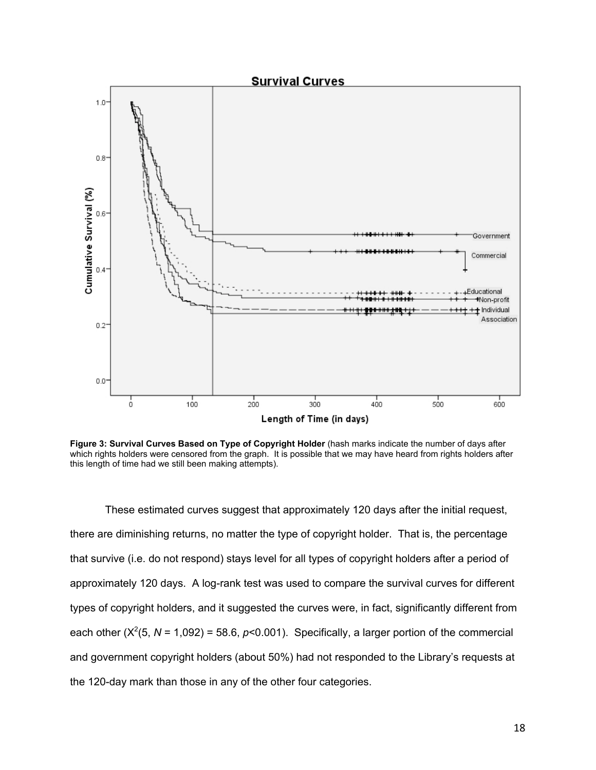

**Figure 3: Survival Curves Based on Type of Copyright Holder** (hash marks indicate the number of days after which rights holders were censored from the graph. It is possible that we may have heard from rights holders after this length of time had we still been making attempts).

These estimated curves suggest that approximately 120 days after the initial request, there are diminishing returns, no matter the type of copyright holder. That is, the percentage that survive (i.e. do not respond) stays level for all types of copyright holders after a period of approximately 120 days. A log-rank test was used to compare the survival curves for different types of copyright holders, and it suggested the curves were, in fact, significantly different from each other  $(X^2(5, N = 1,092) = 58.6, p<0.001)$ . Specifically, a larger portion of the commercial and government copyright holders (about 50%) had not responded to the Library's requests at the 120-day mark than those in any of the other four categories.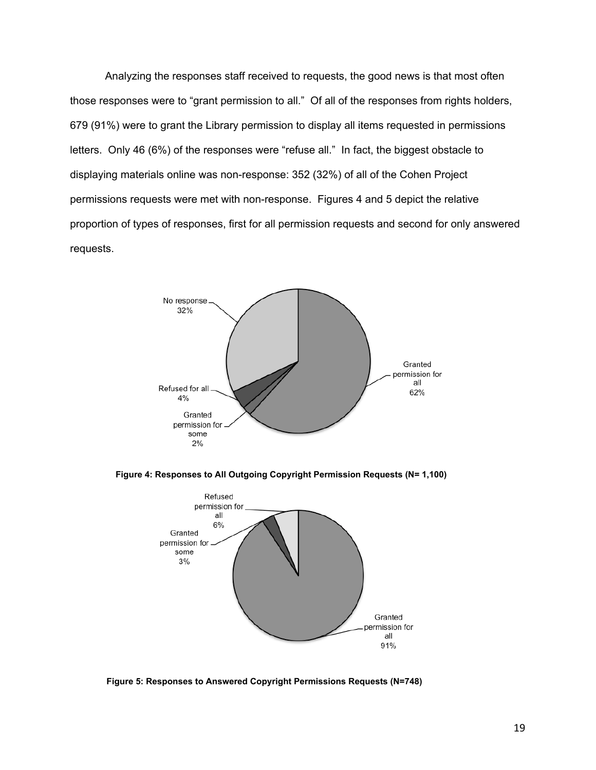Analyzing the responses staff received to requests, the good news is that most often those responses were to "grant permission to all." Of all of the responses from rights holders, 679 (91%) were to grant the Library permission to display all items requested in permissions letters. Only 46 (6%) of the responses were "refuse all." In fact, the biggest obstacle to displaying materials online was non-response: 352 (32%) of all of the Cohen Project permissions requests were met with non-response. Figures 4 and 5 depict the relative proportion of types of responses, first for all permission requests and second for only answered requests.



**Figure 4: Responses to All Outgoing Copyright Permission Requests (N= 1,100)** 



 **Figure 5: Responses to Answered Copyright Permissions Requests (N=748)**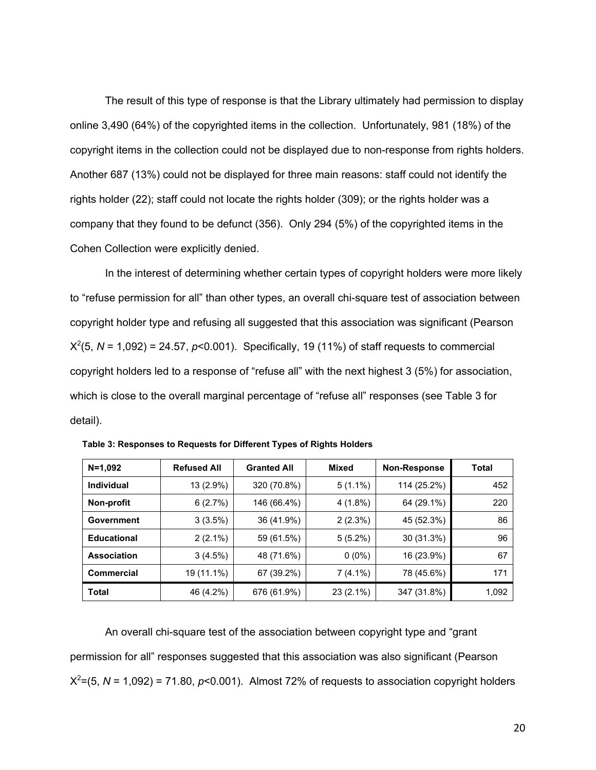The result of this type of response is that the Library ultimately had permission to display online 3,490 (64%) of the copyrighted items in the collection. Unfortunately, 981 (18%) of the copyright items in the collection could not be displayed due to non-response from rights holders. Another 687 (13%) could not be displayed for three main reasons: staff could not identify the rights holder (22); staff could not locate the rights holder (309); or the rights holder was a company that they found to be defunct (356). Only 294 (5%) of the copyrighted items in the Cohen Collection were explicitly denied.

In the interest of determining whether certain types of copyright holders were more likely to "refuse permission for all" than other types, an overall chi-square test of association between copyright holder type and refusing all suggested that this association was significant (Pearson  $X^2(5, N = 1,092) = 24.57, p < 0.001$ ). Specifically, 19 (11%) of staff requests to commercial copyright holders led to a response of "refuse all" with the next highest 3 (5%) for association, which is close to the overall marginal percentage of "refuse all" responses (see Table 3 for detail).

| $N=1,092$          | <b>Refused All</b> | <b>Granted All</b> | Mixed       | <b>Non-Response</b> | Total |
|--------------------|--------------------|--------------------|-------------|---------------------|-------|
| Individual         | 13 (2.9%)          | 320 (70.8%)        | $5(1.1\%)$  | 114 (25.2%)         | 452   |
| Non-profit         | 6(2.7%)            | 146 (66.4%)        | $4(1.8\%)$  | 64 (29.1%)          | 220   |
| Government         | 3(3.5%)            | 36 (41.9%)         | 2(2.3%)     | 45 (52.3%)          | 86    |
| <b>Educational</b> | $2(2.1\%)$         | 59 (61.5%)         | $5(5.2\%)$  | 30 (31.3%)          | 96    |
| Association        | 3(4.5%)            | 48 (71.6%)         | $0(0\%)$    | 16 (23.9%)          | 67    |
| Commercial         | 19 (11.1%)         | 67 (39.2%)         | $7(4.1\%)$  | 78 (45.6%)          | 171   |
| <b>Total</b>       | 46 (4.2%)          | 676 (61.9%)        | $23(2.1\%)$ | 347 (31.8%)         | 1,092 |

|  |  | Table 3: Responses to Requests for Different Types of Rights Holders |
|--|--|----------------------------------------------------------------------|
|--|--|----------------------------------------------------------------------|

An overall chi-square test of the association between copyright type and "grant permission for all" responses suggested that this association was also significant (Pearson  $X^2$ =(5, N = 1,092) = 71.80,  $p$ <0.001). Almost 72% of requests to association copyright holders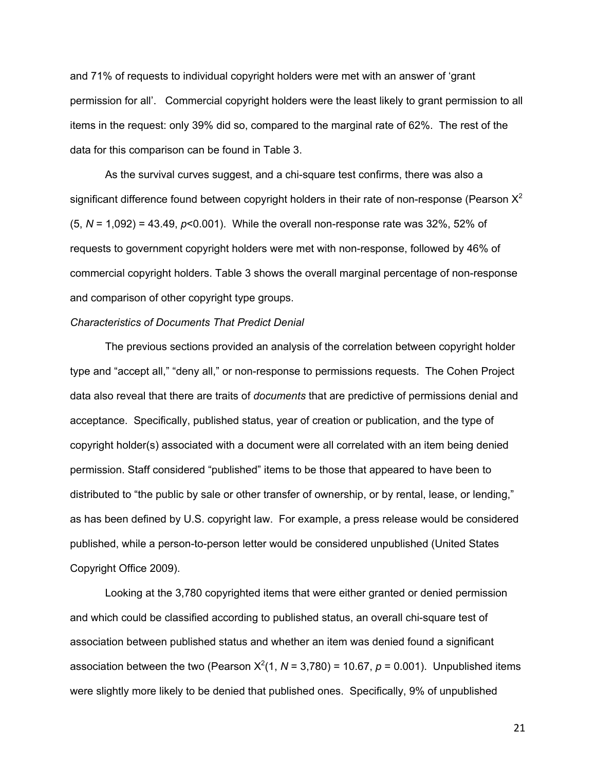and 71% of requests to individual copyright holders were met with an answer of 'grant permission for all'. Commercial copyright holders were the least likely to grant permission to all items in the request: only 39% did so, compared to the marginal rate of 62%. The rest of the data for this comparison can be found in Table 3.

As the survival curves suggest, and a chi-square test confirms, there was also a significant difference found between copyright holders in their rate of non-response (Pearson  $X^2$ (5, *N* = 1,092) = 43.49, *p*<0.001). While the overall non-response rate was 32%, 52% of requests to government copyright holders were met with non-response, followed by 46% of commercial copyright holders. Table 3 shows the overall marginal percentage of non-response and comparison of other copyright type groups.

# *Characteristics of Documents That Predict Denial*

The previous sections provided an analysis of the correlation between copyright holder type and "accept all," "deny all," or non-response to permissions requests. The Cohen Project data also reveal that there are traits of *documents* that are predictive of permissions denial and acceptance. Specifically, published status, year of creation or publication, and the type of copyright holder(s) associated with a document were all correlated with an item being denied permission. Staff considered "published" items to be those that appeared to have been to distributed to "the public by sale or other transfer of ownership, or by rental, lease, or lending," as has been defined by U.S. copyright law. For example, a press release would be considered published, while a person-to-person letter would be considered unpublished (United States Copyright Office 2009).

Looking at the 3,780 copyrighted items that were either granted or denied permission and which could be classified according to published status, an overall chi-square test of association between published status and whether an item was denied found a significant association between the two (Pearson  $X^2(1, N = 3,780) = 10.67$ ,  $p = 0.001$ ). Unpublished items were slightly more likely to be denied that published ones. Specifically, 9% of unpublished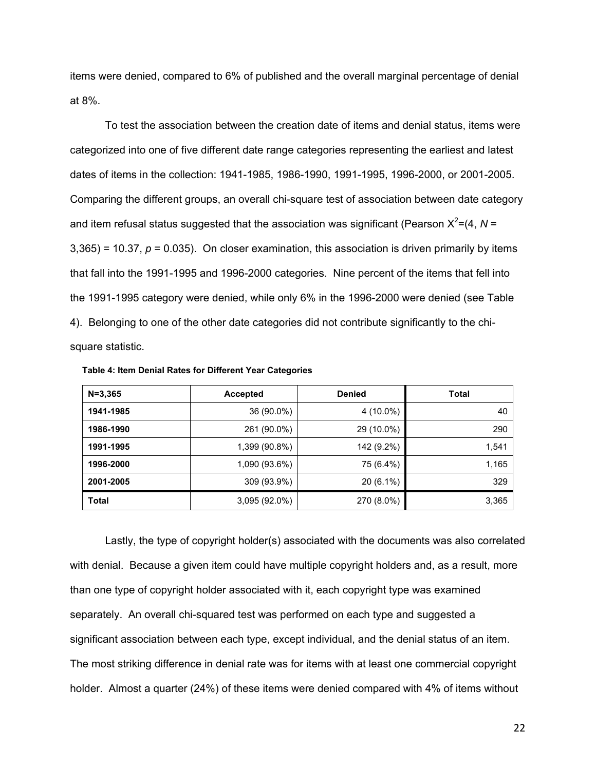items were denied, compared to 6% of published and the overall marginal percentage of denial at 8%.

To test the association between the creation date of items and denial status, items were categorized into one of five different date range categories representing the earliest and latest dates of items in the collection: 1941-1985, 1986-1990, 1991-1995, 1996-2000, or 2001-2005. Comparing the different groups, an overall chi-square test of association between date category and item refusal status suggested that the association was significant (Pearson  $X^2 = (4, N = 1)$ 3,365) = 10.37, *p* = 0.035). On closer examination, this association is driven primarily by items that fall into the 1991-1995 and 1996-2000 categories. Nine percent of the items that fell into the 1991-1995 category were denied, while only 6% in the 1996-2000 were denied (see Table 4). Belonging to one of the other date categories did not contribute significantly to the chisquare statistic.

| $N = 3,365$  | Accepted      | <b>Denied</b> | <b>Total</b> |
|--------------|---------------|---------------|--------------|
| 1941-1985    | 36 (90.0%)    | 4 (10.0%)     | 40           |
| 1986-1990    | 261 (90.0%)   | 29 (10.0%)    | 290          |
| 1991-1995    | 1,399 (90.8%) | 142 (9.2%)    | 1,541        |
| 1996-2000    | 1,090 (93.6%) | 75 (6.4%)     | 1,165        |
| 2001-2005    | 309 (93.9%)   | $20(6.1\%)$   | 329          |
| <b>Total</b> | 3,095 (92.0%) | 270 (8.0%)    | 3,365        |

 **Table 4: Item Denial Rates for Different Year Categories**

Lastly, the type of copyright holder(s) associated with the documents was also correlated with denial. Because a given item could have multiple copyright holders and, as a result, more than one type of copyright holder associated with it, each copyright type was examined separately. An overall chi-squared test was performed on each type and suggested a significant association between each type, except individual, and the denial status of an item. The most striking difference in denial rate was for items with at least one commercial copyright holder. Almost a quarter (24%) of these items were denied compared with 4% of items without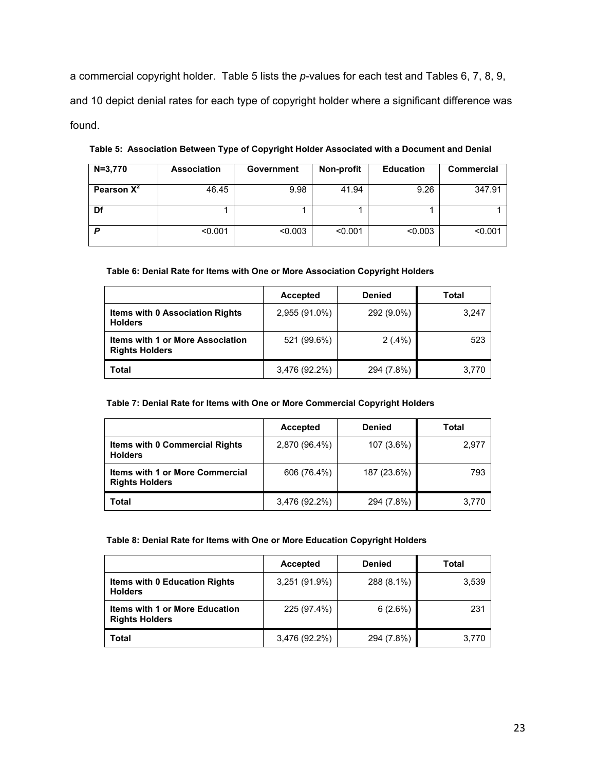a commercial copyright holder. Table 5 lists the *p*-values for each test and Tables 6, 7, 8, 9, and 10 depict denial rates for each type of copyright holder where a significant difference was found.

| $N = 3,770$   | <b>Association</b> | <b>Government</b> | Non-profit | <b>Education</b> | <b>Commercial</b> |
|---------------|--------------------|-------------------|------------|------------------|-------------------|
|               |                    |                   |            |                  |                   |
| Pearson $X^2$ | 46.45              | 9.98              | 41.94      | 9.26             | 347.91            |
|               |                    |                   |            |                  |                   |
| Df            |                    |                   |            |                  |                   |
|               |                    |                   |            |                  |                   |
| D             | < 0.001            | < 0.003           | < 0.001    | < 0.003          | < 0.001           |
|               |                    |                   |            |                  |                   |

 **Table 5: Association Between Type of Copyright Holder Associated with a Document and Denial**

 **Table 6: Denial Rate for Items with One or More Association Copyright Holders**

|                                                                  | <b>Accepted</b> | <b>Denied</b> | Total |
|------------------------------------------------------------------|-----------------|---------------|-------|
| <b>Items with 0 Association Rights</b><br><b>Holders</b>         | 2,955 (91.0%)   | 292 (9.0%)    | 3.247 |
| <b>Items with 1 or More Association</b><br><b>Rights Holders</b> | 521 (99.6%)     | 2(.4%)        | 523   |
| Total                                                            | 3,476 (92.2%)   | 294 (7.8%)    | 3,770 |

### **Table 7: Denial Rate for Items with One or More Commercial Copyright Holders**

|                                                                 | <b>Accepted</b> | <b>Denied</b> | Total |
|-----------------------------------------------------------------|-----------------|---------------|-------|
| <b>Items with 0 Commercial Rights</b><br><b>Holders</b>         | 2,870 (96.4%)   | 107 (3.6%)    | 2.977 |
| <b>Items with 1 or More Commercial</b><br><b>Rights Holders</b> | 606 (76.4%)     | 187 (23.6%)   | 793   |
| Total                                                           | 3,476 (92.2%)   | 294 (7.8%)    | 3,770 |

# **Table 8: Denial Rate for Items with One or More Education Copyright Holders**

|                                                                | <b>Accepted</b> | <b>Denied</b> | Total |
|----------------------------------------------------------------|-----------------|---------------|-------|
| <b>Items with 0 Education Rights</b><br><b>Holders</b>         | $3,251(91.9\%)$ | 288 (8.1%)    | 3,539 |
| <b>Items with 1 or More Education</b><br><b>Rights Holders</b> | 225 (97.4%)     | 6(2.6%)       | 231   |
| <b>Total</b>                                                   | 3,476 (92.2%)   | 294 (7.8%)    | 3,770 |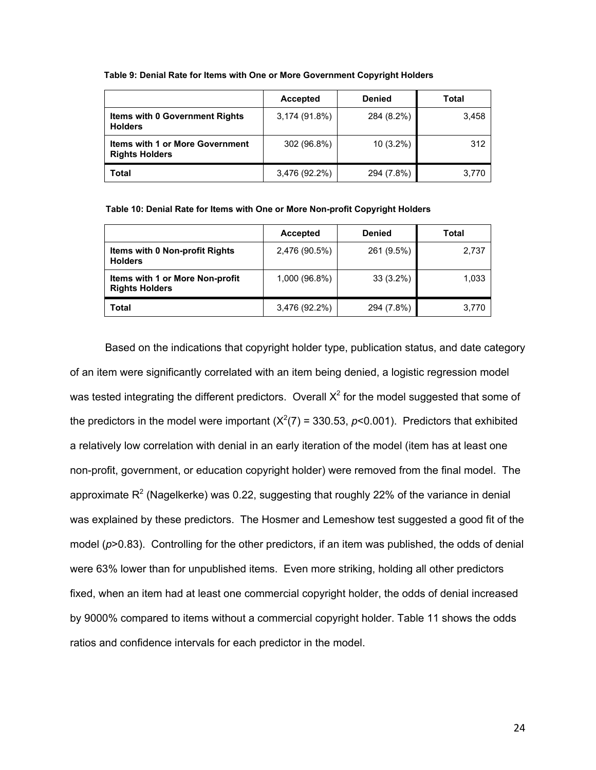|                                                          | <b>Accepted</b> | <b>Denied</b> | Total |
|----------------------------------------------------------|-----------------|---------------|-------|
| <b>Items with 0 Government Rights</b><br><b>Holders</b>  | 3,174(91.8%)    | 284 (8.2%)    | 3,458 |
| Items with 1 or More Government<br><b>Rights Holders</b> | 302 (96.8%)     | 10 (3.2%)     | 312   |
| Total                                                    | 3,476 (92.2%)   | 294 (7.8%)    | 3,770 |

 **Table 9: Denial Rate for Items with One or More Government Copyright Holders**

**Table 10: Denial Rate for Items with One or More Non-profit Copyright Holders**

|                                                          | <b>Accepted</b> | <b>Denied</b> | Total |
|----------------------------------------------------------|-----------------|---------------|-------|
| <b>Items with 0 Non-profit Rights</b><br><b>Holders</b>  | 2,476 (90.5%)   | 261 (9.5%)    | 2,737 |
| Items with 1 or More Non-profit<br><b>Rights Holders</b> | 1,000 (96.8%)   | $33(3.2\%)$   | 1,033 |
| <b>Total</b>                                             | 3,476 (92.2%)   | 294 (7.8%)    | 3,770 |

Based on the indications that copyright holder type, publication status, and date category of an item were significantly correlated with an item being denied, a logistic regression model was tested integrating the different predictors. Overall  $X^2$  for the model suggested that some of the predictors in the model were important  $(X^2(7) = 330.53, p<0.001)$ . Predictors that exhibited a relatively low correlation with denial in an early iteration of the model (item has at least one non-profit, government, or education copyright holder) were removed from the final model. The approximate R<sup>2</sup> (Nagelkerke) was 0.22, suggesting that roughly 22% of the variance in denial was explained by these predictors. The Hosmer and Lemeshow test suggested a good fit of the model ( $p$ >0.83). Controlling for the other predictors, if an item was published, the odds of denial were 63% lower than for unpublished items. Even more striking, holding all other predictors fixed, when an item had at least one commercial copyright holder, the odds of denial increased by 9000% compared to items without a commercial copyright holder. Table 11 shows the odds ratios and confidence intervals for each predictor in the model.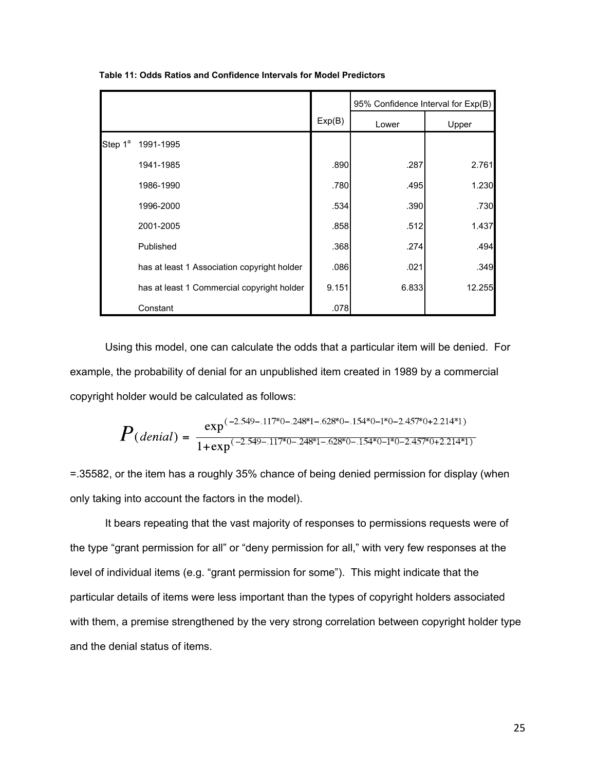|                     |                                             |        | 95% Confidence Interval for Exp(B) |        |
|---------------------|---------------------------------------------|--------|------------------------------------|--------|
|                     |                                             | Exp(B) | Lower                              | Upper  |
| Step 1 <sup>ª</sup> | 1991-1995                                   |        |                                    |        |
|                     | 1941-1985                                   | .890   | .287                               | 2.761  |
|                     | 1986-1990                                   | .780   | .495                               | 1.230  |
|                     | 1996-2000                                   | .534   | .390                               | .730   |
|                     | 2001-2005                                   | .858   | .512                               | 1.437  |
|                     | Published                                   | .368   | .274                               | .494   |
|                     | has at least 1 Association copyright holder | .086   | .021                               | .349   |
|                     | has at least 1 Commercial copyright holder  | 9.151  | 6.833                              | 12.255 |
|                     | Constant                                    | .078   |                                    |        |

 **Table 11: Odds Ratios and Confidence Intervals for Model Predictors**

Using this model, one can calculate the odds that a particular item will be denied. For example, the probability of denial for an unpublished item created in 1989 by a commercial copyright holder would be calculated as follows:

$$
P(denial) = \frac{\exp^{(-2.549 - .117^{*}0 - .248^{*}1 - .628^{*}0 - .154^{*}0 - 1^{*}0 - 2.457^{*}0 + 2.214^{*}1)}}{1 + \exp^{(-2.549 - .117^{*}0 - .248^{*}1 - .628^{*}0 - .154^{*}0 - 1^{*}0 - 2.457^{*}0 + 2.214^{*}1)}}
$$

=.35582, or the item has a roughly 35% chance of being denied permission for display (when only taking into account the factors in the model).

It bears repeating that the vast majority of responses to permissions requests were of the type "grant permission for all" or "deny permission for all," with very few responses at the level of individual items (e.g. "grant permission for some"). This might indicate that the particular details of items were less important than the types of copyright holders associated with them, a premise strengthened by the very strong correlation between copyright holder type and the denial status of items.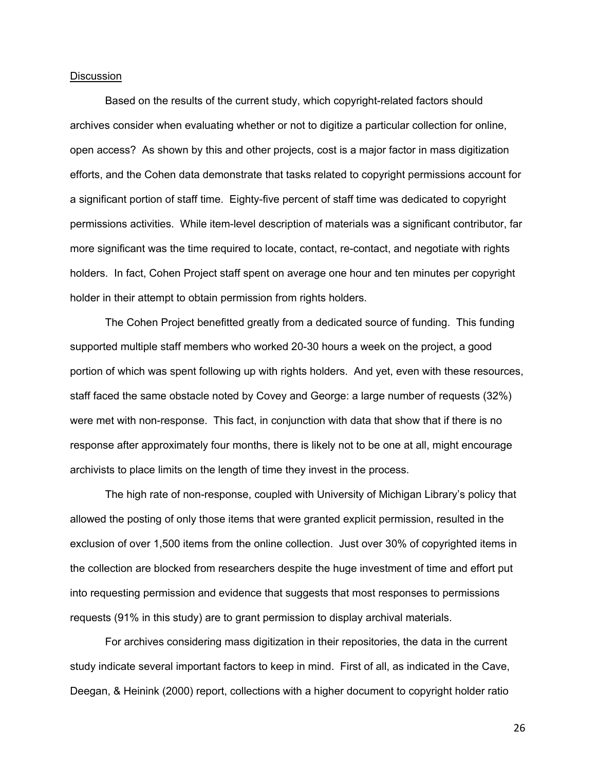#### **Discussion**

Based on the results of the current study, which copyright-related factors should archives consider when evaluating whether or not to digitize a particular collection for online, open access? As shown by this and other projects, cost is a major factor in mass digitization efforts, and the Cohen data demonstrate that tasks related to copyright permissions account for a significant portion of staff time. Eighty-five percent of staff time was dedicated to copyright permissions activities. While item-level description of materials was a significant contributor, far more significant was the time required to locate, contact, re-contact, and negotiate with rights holders. In fact, Cohen Project staff spent on average one hour and ten minutes per copyright holder in their attempt to obtain permission from rights holders.

The Cohen Project benefitted greatly from a dedicated source of funding. This funding supported multiple staff members who worked 20-30 hours a week on the project, a good portion of which was spent following up with rights holders. And yet, even with these resources, staff faced the same obstacle noted by Covey and George: a large number of requests (32%) were met with non-response. This fact, in conjunction with data that show that if there is no response after approximately four months, there is likely not to be one at all, might encourage archivists to place limits on the length of time they invest in the process.

The high rate of non-response, coupled with University of Michigan Library's policy that allowed the posting of only those items that were granted explicit permission, resulted in the exclusion of over 1,500 items from the online collection. Just over 30% of copyrighted items in the collection are blocked from researchers despite the huge investment of time and effort put into requesting permission and evidence that suggests that most responses to permissions requests (91% in this study) are to grant permission to display archival materials.

For archives considering mass digitization in their repositories, the data in the current study indicate several important factors to keep in mind. First of all, as indicated in the Cave, Deegan, & Heinink (2000) report, collections with a higher document to copyright holder ratio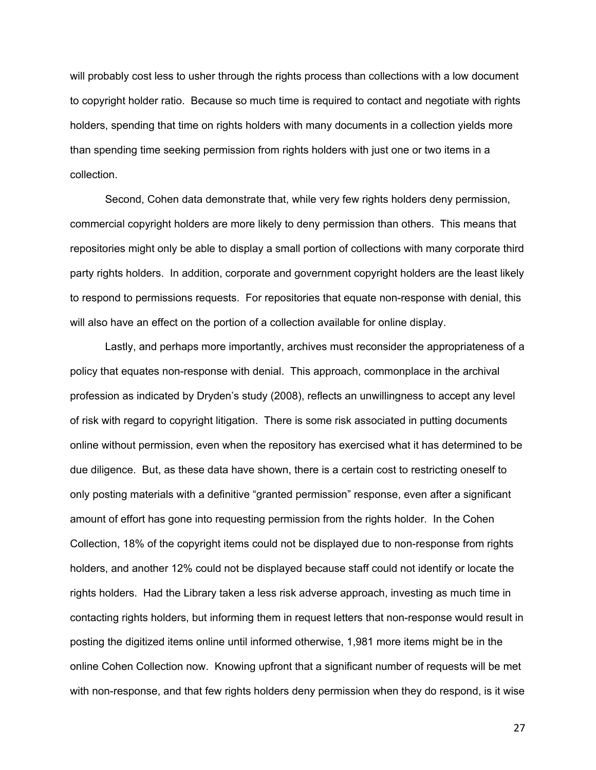will probably cost less to usher through the rights process than collections with a low document to copyright holder ratio. Because so much time is required to contact and negotiate with rights holders, spending that time on rights holders with many documents in a collection yields more than spending time seeking permission from rights holders with just one or two items in a collection.

Second, Cohen data demonstrate that, while very few rights holders deny permission, commercial copyright holders are more likely to deny permission than others. This means that repositories might only be able to display a small portion of collections with many corporate third party rights holders. In addition, corporate and government copyright holders are the least likely to respond to permissions requests. For repositories that equate non-response with denial, this will also have an effect on the portion of a collection available for online display.

Lastly, and perhaps more importantly, archives must reconsider the appropriateness of a policy that equates non-response with denial. This approach, commonplace in the archival profession as indicated by Dryden's study (2008), reflects an unwillingness to accept any level of risk with regard to copyright litigation. There is some risk associated in putting documents online without permission, even when the repository has exercised what it has determined to be due diligence. But, as these data have shown, there is a certain cost to restricting oneself to only posting materials with a definitive "granted permission" response, even after a significant amount of effort has gone into requesting permission from the rights holder. In the Cohen Collection, 18% of the copyright items could not be displayed due to non-response from rights holders, and another 12% could not be displayed because staff could not identify or locate the rights holders. Had the Library taken a less risk adverse approach, investing as much time in contacting rights holders, but informing them in request letters that non-response would result in posting the digitized items online until informed otherwise, 1,981 more items might be in the online Cohen Collection now. Knowing upfront that a significant number of requests will be met with non-response, and that few rights holders deny permission when they do respond, is it wise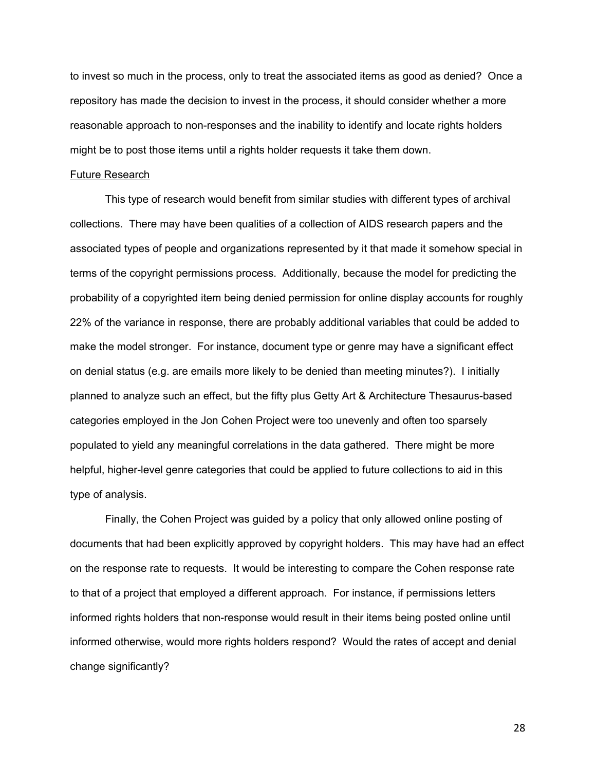to invest so much in the process, only to treat the associated items as good as denied? Once a repository has made the decision to invest in the process, it should consider whether a more reasonable approach to non-responses and the inability to identify and locate rights holders might be to post those items until a rights holder requests it take them down.

#### Future Research

This type of research would benefit from similar studies with different types of archival collections. There may have been qualities of a collection of AIDS research papers and the associated types of people and organizations represented by it that made it somehow special in terms of the copyright permissions process. Additionally, because the model for predicting the probability of a copyrighted item being denied permission for online display accounts for roughly 22% of the variance in response, there are probably additional variables that could be added to make the model stronger. For instance, document type or genre may have a significant effect on denial status (e.g. are emails more likely to be denied than meeting minutes?). I initially planned to analyze such an effect, but the fifty plus Getty Art & Architecture Thesaurus-based categories employed in the Jon Cohen Project were too unevenly and often too sparsely populated to yield any meaningful correlations in the data gathered. There might be more helpful, higher-level genre categories that could be applied to future collections to aid in this type of analysis.

Finally, the Cohen Project was guided by a policy that only allowed online posting of documents that had been explicitly approved by copyright holders. This may have had an effect on the response rate to requests. It would be interesting to compare the Cohen response rate to that of a project that employed a different approach. For instance, if permissions letters informed rights holders that non-response would result in their items being posted online until informed otherwise, would more rights holders respond? Would the rates of accept and denial change significantly?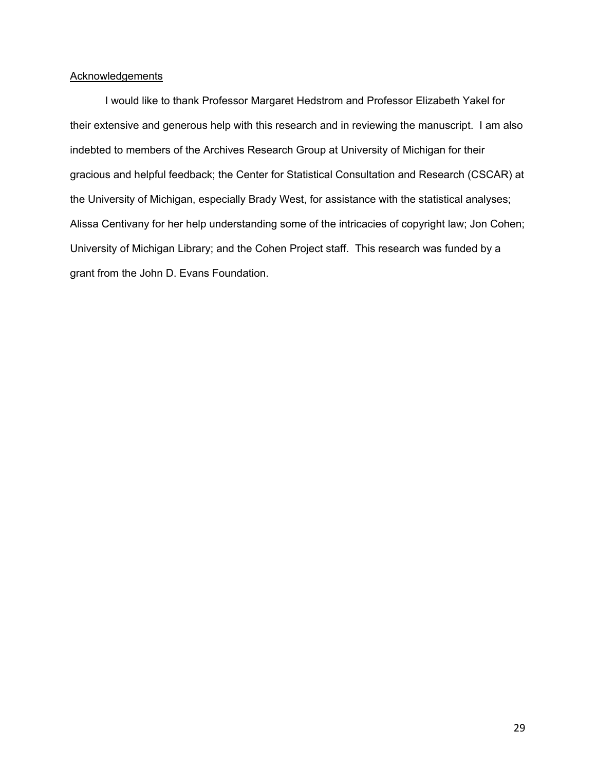# **Acknowledgements**

I would like to thank Professor Margaret Hedstrom and Professor Elizabeth Yakel for their extensive and generous help with this research and in reviewing the manuscript. I am also indebted to members of the Archives Research Group at University of Michigan for their gracious and helpful feedback; the Center for Statistical Consultation and Research (CSCAR) at the University of Michigan, especially Brady West, for assistance with the statistical analyses; Alissa Centivany for her help understanding some of the intricacies of copyright law; Jon Cohen; University of Michigan Library; and the Cohen Project staff. This research was funded by a grant from the John D. Evans Foundation.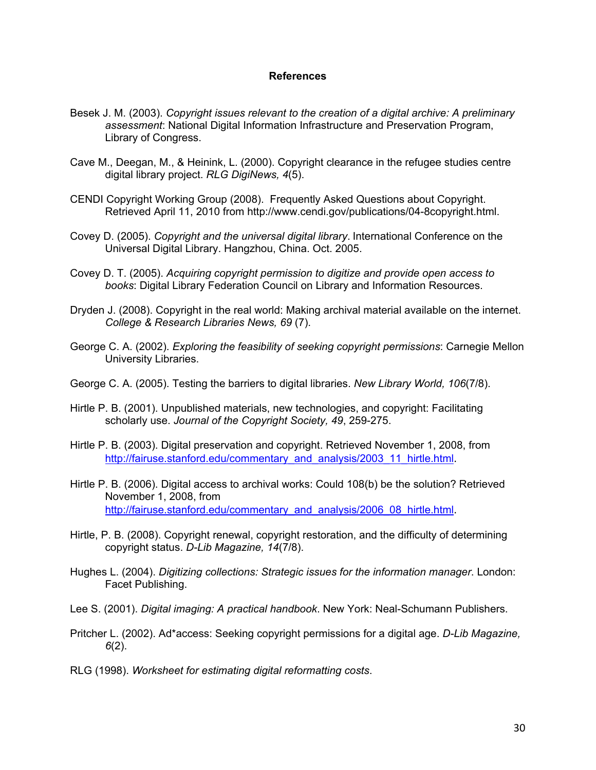## **References**

- Besek J. M. (2003). *Copyright issues relevant to the creation of a digital archive: A preliminary assessment*: National Digital Information Infrastructure and Preservation Program, Library of Congress.
- Cave M., Deegan, M., & Heinink, L. (2000). Copyright clearance in the refugee studies centre digital library project. *RLG DigiNews, 4*(5).
- CENDI Copyright Working Group (2008). Frequently Asked Questions about Copyright. Retrieved April 11, 2010 from http://www.cendi.gov/publications/04-8copyright.html.
- Covey D. (2005). *Copyright and the universal digital library*. International Conference on the Universal Digital Library. Hangzhou, China. Oct. 2005.
- Covey D. T. (2005). *Acquiring copyright permission to digitize and provide open access to books*: Digital Library Federation Council on Library and Information Resources.
- Dryden J. (2008). Copyright in the real world: Making archival material available on the internet. *College & Research Libraries News, 69* (7).
- George C. A. (2002). *Exploring the feasibility of seeking copyright permissions*: Carnegie Mellon University Libraries.
- George C. A. (2005). Testing the barriers to digital libraries. *New Library World, 106*(7/8).
- Hirtle P. B. (2001). Unpublished materials, new technologies, and copyright: Facilitating scholarly use. *Journal of the Copyright Society, 49*, 259-275.
- Hirtle P. B. (2003). Digital preservation and copyright. Retrieved November 1, 2008, from http://fairuse.stanford.edu/commentary\_and\_analysis/2003\_11\_hirtle.html.
- Hirtle P. B. (2006). Digital access to archival works: Could 108(b) be the solution? Retrieved November 1, 2008, from http://fairuse.stanford.edu/commentary\_and\_analysis/2006\_08\_hirtle.html.
- Hirtle, P. B. (2008). Copyright renewal, copyright restoration, and the difficulty of determining copyright status. *D-Lib Magazine, 14*(7/8).
- Hughes L. (2004). *Digitizing collections: Strategic issues for the information manager*. London: Facet Publishing.
- Lee S. (2001). *Digital imaging: A practical handbook*. New York: Neal-Schumann Publishers.
- Pritcher L. (2002). Ad\*access: Seeking copyright permissions for a digital age. *D-Lib Magazine, 6*(2).
- RLG (1998). *Worksheet for estimating digital reformatting costs*.